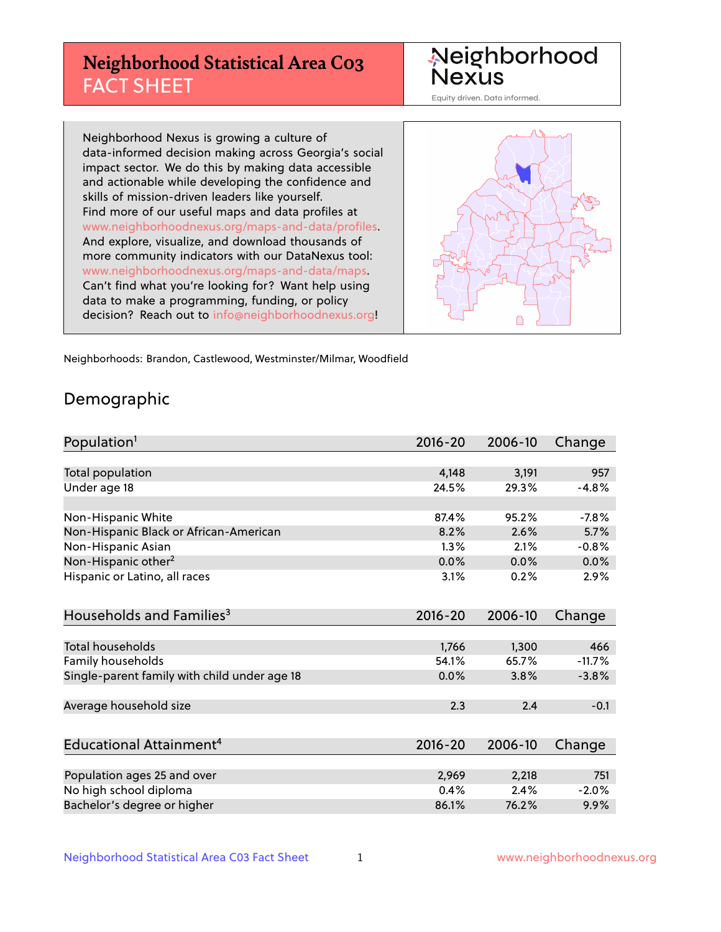# **Neighborhood Statistical Area C03** FACT SHEET

Neighborhood Nexus

Equity driven. Data informed.

Neighborhood Nexus is growing a culture of data-informed decision making across Georgia's social impact sector. We do this by making data accessible and actionable while developing the confidence and skills of mission-driven leaders like yourself. Find more of our useful maps and data profiles at www.neighborhoodnexus.org/maps-and-data/profiles. And explore, visualize, and download thousands of more community indicators with our DataNexus tool: www.neighborhoodnexus.org/maps-and-data/maps. Can't find what you're looking for? Want help using data to make a programming, funding, or policy decision? Reach out to [info@neighborhoodnexus.org!](mailto:info@neighborhoodnexus.org)



Neighborhoods: Brandon, Castlewood, Westminster/Milmar, Woodfield

### Demographic

| Population <sup>1</sup>                      | $2016 - 20$ | 2006-10 | Change   |
|----------------------------------------------|-------------|---------|----------|
|                                              |             |         |          |
| Total population                             | 4,148       | 3,191   | 957      |
| Under age 18                                 | 24.5%       | 29.3%   | $-4.8%$  |
|                                              |             |         |          |
| Non-Hispanic White                           | 87.4%       | 95.2%   | $-7.8%$  |
| Non-Hispanic Black or African-American       | 8.2%        | 2.6%    | 5.7%     |
| Non-Hispanic Asian                           | 1.3%        | 2.1%    | $-0.8%$  |
| Non-Hispanic other <sup>2</sup>              | 0.0%        | 0.0%    | 0.0%     |
| Hispanic or Latino, all races                | 3.1%        | 0.2%    | 2.9%     |
|                                              |             |         |          |
| Households and Families <sup>3</sup>         | $2016 - 20$ | 2006-10 | Change   |
|                                              |             |         |          |
| <b>Total households</b>                      | 1,766       | 1,300   | 466      |
| Family households                            | 54.1%       | 65.7%   | $-11.7%$ |
| Single-parent family with child under age 18 | 0.0%        | 3.8%    | $-3.8%$  |
|                                              |             |         |          |
| Average household size                       | 2.3         | 2.4     | $-0.1$   |
|                                              |             |         |          |
| Educational Attainment <sup>4</sup>          | $2016 - 20$ | 2006-10 | Change   |
|                                              |             |         |          |
| Population ages 25 and over                  | 2,969       | 2,218   | 751      |
| No high school diploma                       | 0.4%        | 2.4%    | $-2.0%$  |
| Bachelor's degree or higher                  | 86.1%       | 76.2%   | 9.9%     |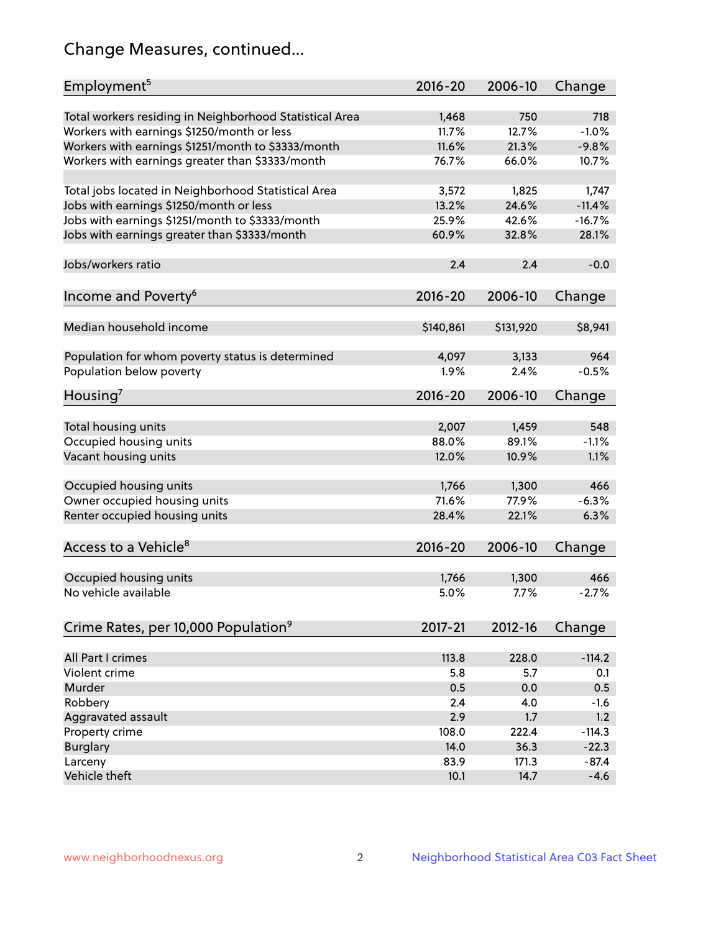# Change Measures, continued...

| Employment <sup>5</sup>                                 | $2016 - 20$ | 2006-10   | Change   |
|---------------------------------------------------------|-------------|-----------|----------|
| Total workers residing in Neighborhood Statistical Area | 1,468       | 750       | 718      |
| Workers with earnings \$1250/month or less              | 11.7%       | 12.7%     | $-1.0%$  |
| Workers with earnings \$1251/month to \$3333/month      | 11.6%       | 21.3%     | $-9.8%$  |
| Workers with earnings greater than \$3333/month         | 76.7%       | 66.0%     | 10.7%    |
|                                                         |             |           |          |
| Total jobs located in Neighborhood Statistical Area     | 3,572       | 1,825     | 1,747    |
| Jobs with earnings \$1250/month or less                 | 13.2%       | 24.6%     | $-11.4%$ |
| Jobs with earnings \$1251/month to \$3333/month         | 25.9%       | 42.6%     | $-16.7%$ |
| Jobs with earnings greater than \$3333/month            | 60.9%       | 32.8%     | 28.1%    |
|                                                         |             |           |          |
| Jobs/workers ratio                                      | 2.4         | 2.4       | $-0.0$   |
|                                                         |             |           |          |
| Income and Poverty <sup>6</sup>                         | 2016-20     | 2006-10   | Change   |
|                                                         |             |           |          |
| Median household income                                 | \$140,861   | \$131,920 | \$8,941  |
|                                                         |             |           |          |
| Population for whom poverty status is determined        | 4,097       | 3,133     | 964      |
| Population below poverty                                | 1.9%        | 2.4%      | $-0.5%$  |
|                                                         |             |           |          |
| Housing <sup>7</sup>                                    | 2016-20     | 2006-10   | Change   |
|                                                         |             |           |          |
| Total housing units                                     | 2,007       | 1,459     | 548      |
| Occupied housing units                                  | 88.0%       | 89.1%     | $-1.1%$  |
| Vacant housing units                                    | 12.0%       | 10.9%     | 1.1%     |
|                                                         |             |           |          |
| Occupied housing units                                  | 1,766       | 1,300     | 466      |
| Owner occupied housing units                            | 71.6%       | 77.9%     | $-6.3%$  |
| Renter occupied housing units                           | 28.4%       | 22.1%     | 6.3%     |
|                                                         |             |           |          |
| Access to a Vehicle <sup>8</sup>                        | $2016 - 20$ | 2006-10   | Change   |
|                                                         |             |           |          |
| Occupied housing units                                  | 1,766       | 1,300     | 466      |
| No vehicle available                                    | 5.0%        | 7.7%      | $-2.7%$  |
|                                                         |             |           |          |
| Crime Rates, per 10,000 Population <sup>9</sup>         | 2017-21     | 2012-16   | Change   |
|                                                         |             |           |          |
| All Part I crimes                                       | 113.8       | 228.0     | $-114.2$ |
| Violent crime                                           | 5.8         | 5.7       | 0.1      |
| Murder                                                  | 0.5         | 0.0       | 0.5      |
| Robbery                                                 | 2.4         | 4.0       | $-1.6$   |
| Aggravated assault                                      | 2.9         | 1.7       | 1.2      |
| Property crime                                          | 108.0       | 222.4     | $-114.3$ |
| <b>Burglary</b>                                         | 14.0        | 36.3      | $-22.3$  |
| Larceny                                                 | 83.9        | 171.3     | $-87.4$  |
| Vehicle theft                                           | 10.1        | 14.7      | $-4.6$   |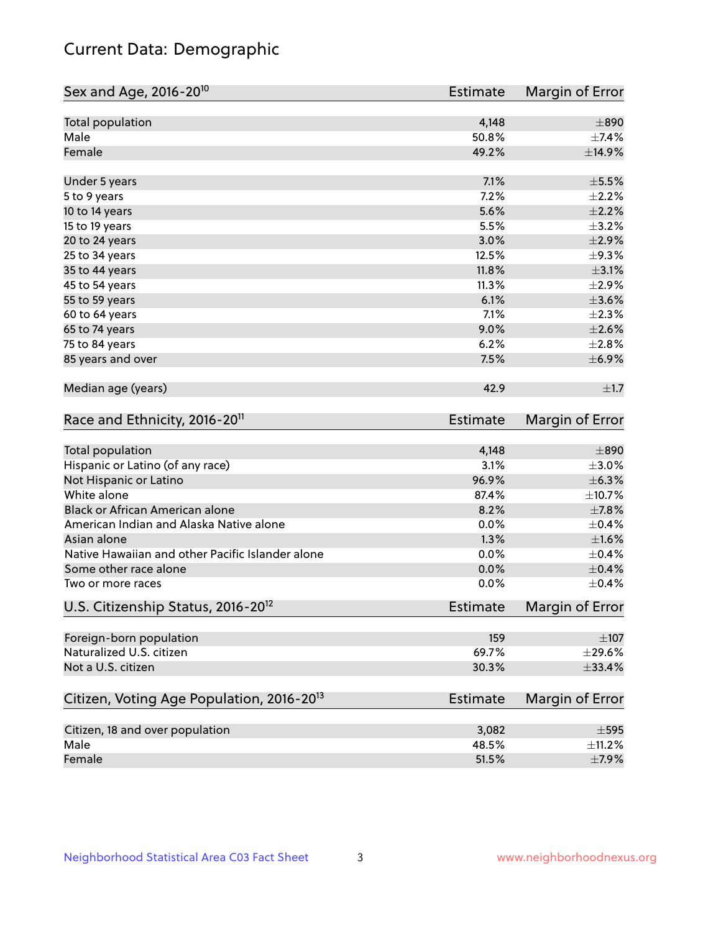# Current Data: Demographic

| Sex and Age, 2016-20 <sup>10</sup>                    | <b>Estimate</b> | Margin of Error |
|-------------------------------------------------------|-----------------|-----------------|
| Total population                                      | 4,148           | $\pm 890$       |
| Male                                                  | 50.8%           | ±7.4%           |
| Female                                                | 49.2%           | ±14.9%          |
| Under 5 years                                         | 7.1%            | $\pm$ 5.5%      |
| 5 to 9 years                                          | 7.2%            | $\pm 2.2\%$     |
| 10 to 14 years                                        | 5.6%            | $\pm 2.2\%$     |
| 15 to 19 years                                        | 5.5%            | $\pm$ 3.2%      |
| 20 to 24 years                                        | 3.0%            | $\pm 2.9\%$     |
| 25 to 34 years                                        | 12.5%           | $\pm$ 9.3%      |
| 35 to 44 years                                        | 11.8%           | $\pm$ 3.1%      |
| 45 to 54 years                                        | 11.3%           | $\pm 2.9\%$     |
| 55 to 59 years                                        | 6.1%            | $\pm 3.6\%$     |
| 60 to 64 years                                        | 7.1%            | $\pm 2.3\%$     |
| 65 to 74 years                                        | 9.0%            | $\pm 2.6\%$     |
| 75 to 84 years                                        | 6.2%            | ±2.8%           |
| 85 years and over                                     | 7.5%            | $\pm$ 6.9%      |
| Median age (years)                                    | 42.9            | ±1.7            |
| Race and Ethnicity, 2016-20 <sup>11</sup>             | <b>Estimate</b> | Margin of Error |
| Total population                                      | 4,148           | $\pm 890$       |
| Hispanic or Latino (of any race)                      | 3.1%            | $\pm 3.0\%$     |
| Not Hispanic or Latino                                | 96.9%           | $\pm$ 6.3%      |
| White alone                                           | 87.4%           | ±10.7%          |
| Black or African American alone                       | 8.2%            | $\pm$ 7.8%      |
| American Indian and Alaska Native alone               | 0.0%            | $\pm$ 0.4%      |
| Asian alone                                           | 1.3%            | $\pm1.6\%$      |
| Native Hawaiian and other Pacific Islander alone      | 0.0%            | $\pm$ 0.4%      |
| Some other race alone                                 | 0.0%            | $\pm$ 0.4%      |
| Two or more races                                     | 0.0%            | $\pm$ 0.4%      |
| U.S. Citizenship Status, 2016-20 <sup>12</sup>        | <b>Estimate</b> | Margin of Error |
| Foreign-born population                               | 159             | $\pm 107$       |
| Naturalized U.S. citizen                              | 69.7%           | $\pm$ 29.6%     |
| Not a U.S. citizen                                    | 30.3%           | ±33.4%          |
| Citizen, Voting Age Population, 2016-20 <sup>13</sup> | <b>Estimate</b> | Margin of Error |
| Citizen, 18 and over population                       |                 |                 |
| Male                                                  | 3,082           | $\pm$ 595       |
|                                                       | 48.5%           | $\pm$ 11.2%     |
| Female                                                | 51.5%           | $\pm$ 7.9%      |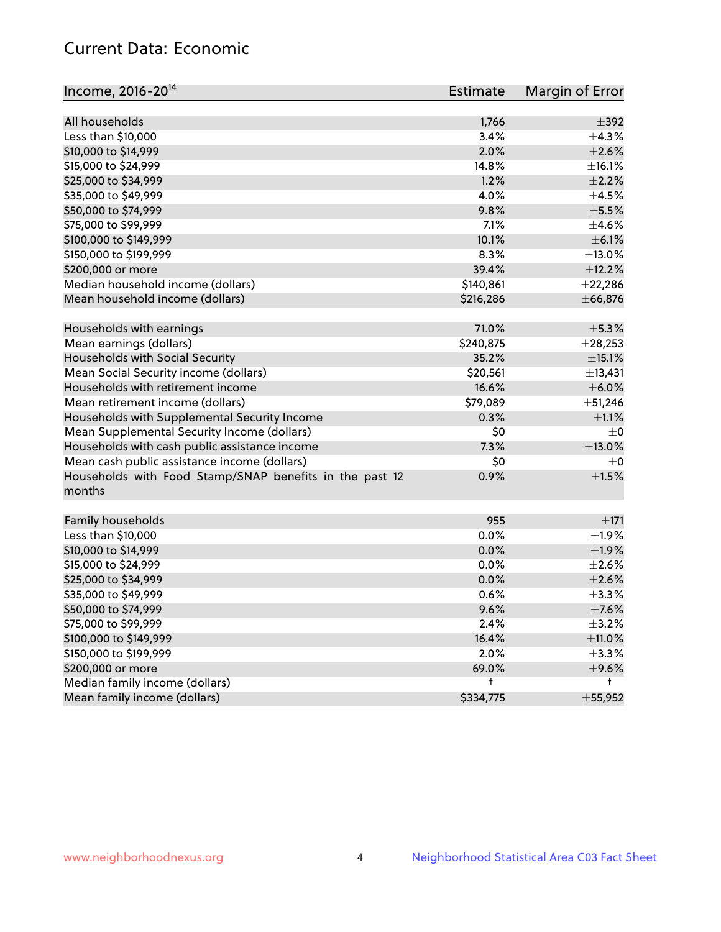# Current Data: Economic

| Income, 2016-20 <sup>14</sup>                                     | <b>Estimate</b> | Margin of Error  |
|-------------------------------------------------------------------|-----------------|------------------|
| All households                                                    | 1,766           | $\pm$ 392        |
| Less than \$10,000                                                | 3.4%            | ±4.3%            |
| \$10,000 to \$14,999                                              | 2.0%            | $\pm 2.6\%$      |
| \$15,000 to \$24,999                                              | 14.8%           | ±16.1%           |
|                                                                   | 1.2%            | $\pm 2.2\%$      |
| \$25,000 to \$34,999                                              |                 |                  |
| \$35,000 to \$49,999                                              | 4.0%            | $\pm 4.5\%$      |
| \$50,000 to \$74,999                                              | 9.8%            | $\pm$ 5.5%       |
| \$75,000 to \$99,999                                              | 7.1%            | $\pm 4.6\%$      |
| \$100,000 to \$149,999                                            | 10.1%           | $\pm$ 6.1%       |
| \$150,000 to \$199,999                                            | 8.3%            | $\pm$ 13.0%      |
| \$200,000 or more                                                 | 39.4%           | ±12.2%           |
| Median household income (dollars)                                 | \$140,861       | $±$ 22,286       |
| Mean household income (dollars)                                   | \$216,286       | ± 66,876         |
| Households with earnings                                          | 71.0%           | $\pm$ 5.3%       |
| Mean earnings (dollars)                                           | \$240,875       | $±$ 28,253       |
| Households with Social Security                                   | 35.2%           | $\pm$ 15.1%      |
| Mean Social Security income (dollars)                             | \$20,561        | ±13,431          |
| Households with retirement income                                 | 16.6%           | $\pm$ 6.0%       |
| Mean retirement income (dollars)                                  | \$79,089        | ±51,246          |
| Households with Supplemental Security Income                      | 0.3%            | $\pm 1.1\%$      |
| Mean Supplemental Security Income (dollars)                       | \$0             | $\pm$ 0          |
| Households with cash public assistance income                     | 7.3%            | $\pm$ 13.0%      |
| Mean cash public assistance income (dollars)                      | \$0             | $\pm$ 0          |
| Households with Food Stamp/SNAP benefits in the past 12<br>months | 0.9%            | $\pm1.5\%$       |
| Family households                                                 | 955             | ±171             |
| Less than \$10,000                                                | 0.0%            | ±1.9%            |
| \$10,000 to \$14,999                                              | 0.0%            | ±1.9%            |
| \$15,000 to \$24,999                                              | 0.0%            | $\pm 2.6\%$      |
| \$25,000 to \$34,999                                              | 0.0%            | $\pm 2.6\%$      |
| \$35,000 to \$49,999                                              | 0.6%            | ±3.3%            |
| \$50,000 to \$74,999                                              | 9.6%            | $\pm$ 7.6%       |
| \$75,000 to \$99,999                                              | 2.4%            | $\pm$ 3.2%       |
| \$100,000 to \$149,999                                            | 16.4%           | ±11.0%           |
|                                                                   |                 |                  |
| \$150,000 to \$199,999                                            | 2.0%            | $\pm$ 3.3%       |
| \$200,000 or more                                                 | 69.0%           | $\pm$ 9.6%<br>t. |
| Median family income (dollars)                                    | t               |                  |
| Mean family income (dollars)                                      | \$334,775       | $\pm 55,952$     |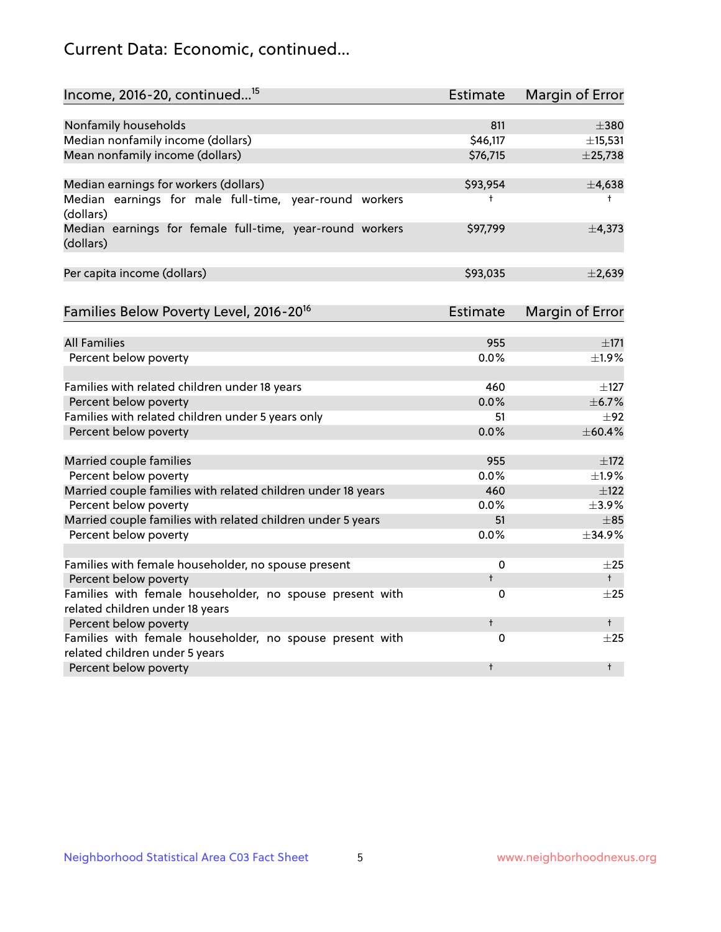# Current Data: Economic, continued...

| Income, 2016-20, continued <sup>15</sup>                                                   | <b>Estimate</b> | <b>Margin of Error</b> |
|--------------------------------------------------------------------------------------------|-----------------|------------------------|
|                                                                                            |                 |                        |
| Nonfamily households                                                                       | 811             | $\pm$ 380              |
| Median nonfamily income (dollars)                                                          | \$46,117        | ±15,531                |
| Mean nonfamily income (dollars)                                                            | \$76,715        | ±25,738                |
| Median earnings for workers (dollars)                                                      | \$93,954        | ±4,638                 |
| Median earnings for male full-time, year-round workers<br>(dollars)                        | t               | $^+$                   |
| Median earnings for female full-time, year-round workers<br>(dollars)                      | \$97,799        | ±4,373                 |
| Per capita income (dollars)                                                                | \$93,035        | $\pm 2,639$            |
| Families Below Poverty Level, 2016-20 <sup>16</sup>                                        | <b>Estimate</b> | <b>Margin of Error</b> |
|                                                                                            |                 |                        |
| <b>All Families</b>                                                                        | 955             | ±171                   |
| Percent below poverty                                                                      | 0.0%            | ±1.9%                  |
| Families with related children under 18 years                                              | 460             | $\pm$ 127              |
| Percent below poverty                                                                      | 0.0%            | ±6.7%                  |
| Families with related children under 5 years only                                          | 51              | $\pm$ 92               |
| Percent below poverty                                                                      | 0.0%            | ±60.4%                 |
| Married couple families                                                                    | 955             | ±172                   |
| Percent below poverty                                                                      | 0.0%            | $\pm$ 1.9%             |
| Married couple families with related children under 18 years                               | 460             | $\pm$ 122              |
| Percent below poverty                                                                      | $0.0\%$         | ±3.9%                  |
| Married couple families with related children under 5 years                                | 51              | $\pm$ 85               |
| Percent below poverty                                                                      | 0.0%            | ±34.9%                 |
| Families with female householder, no spouse present                                        | 0               | $\pm 25$               |
| Percent below poverty                                                                      | $\ddagger$      | $^+$                   |
| Families with female householder, no spouse present with                                   | 0               | $\pm 25$               |
| related children under 18 years                                                            |                 |                        |
| Percent below poverty                                                                      | $\ddagger$      | $^+$                   |
| Families with female householder, no spouse present with<br>related children under 5 years | 0               | $\pm 25$               |
| Percent below poverty                                                                      | $\ddagger$      | $^{\dagger}$           |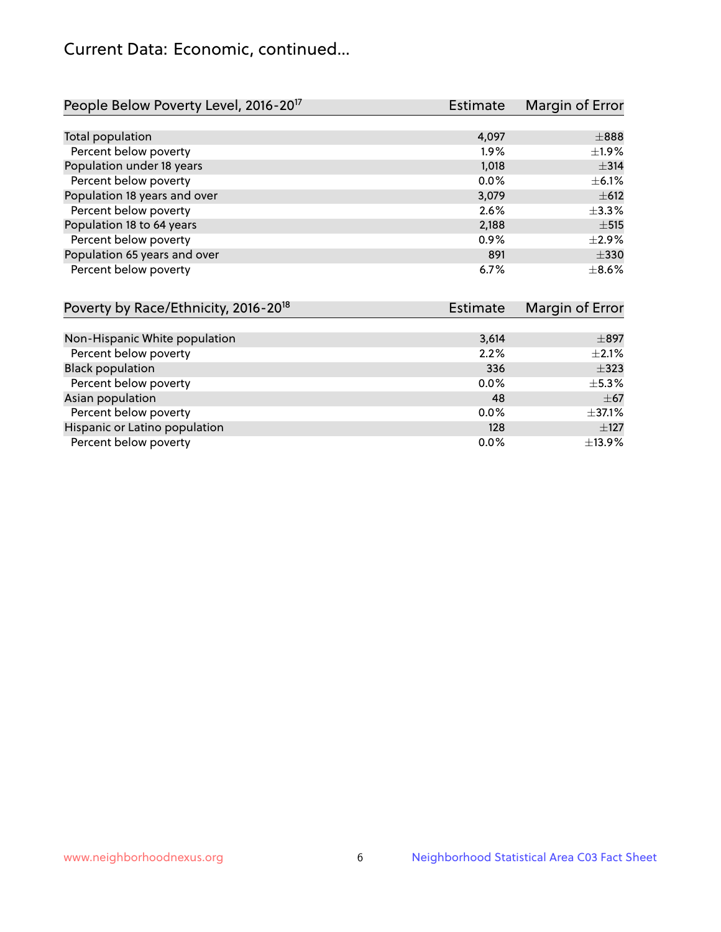# Current Data: Economic, continued...

| People Below Poverty Level, 2016-20 <sup>17</sup> | <b>Estimate</b> | Margin of Error |
|---------------------------------------------------|-----------------|-----------------|
|                                                   |                 |                 |
| Total population                                  | 4,097           | $\pm$ 888       |
| Percent below poverty                             | $1.9\%$         | $\pm$ 1.9%      |
| Population under 18 years                         | 1,018           | $\pm$ 314       |
| Percent below poverty                             | $0.0\%$         | $\pm$ 6.1%      |
| Population 18 years and over                      | 3,079           | $\pm$ 612       |
| Percent below poverty                             | 2.6%            | $\pm$ 3.3%      |
| Population 18 to 64 years                         | 2,188           | $\pm$ 515       |
| Percent below poverty                             | 0.9%            | $\pm 2.9\%$     |
| Population 65 years and over                      | 891             | $\pm$ 330       |
| Percent below poverty                             | 6.7%            | $\pm$ 8.6%      |

| Poverty by Race/Ethnicity, 2016-20 <sup>18</sup> | <b>Estimate</b> | Margin of Error |
|--------------------------------------------------|-----------------|-----------------|
|                                                  |                 |                 |
| Non-Hispanic White population                    | 3,614           | $\pm$ 897       |
| Percent below poverty                            | 2.2%            | $\pm 2.1\%$     |
| <b>Black population</b>                          | 336             | $\pm$ 323       |
| Percent below poverty                            | $0.0\%$         | $\pm$ 5.3%      |
| Asian population                                 | 48              | $\pm$ 67        |
| Percent below poverty                            | $0.0\%$         | $\pm$ 37.1%     |
| Hispanic or Latino population                    | 128             | $\pm$ 127       |
| Percent below poverty                            | $0.0\%$         | ±13.9%          |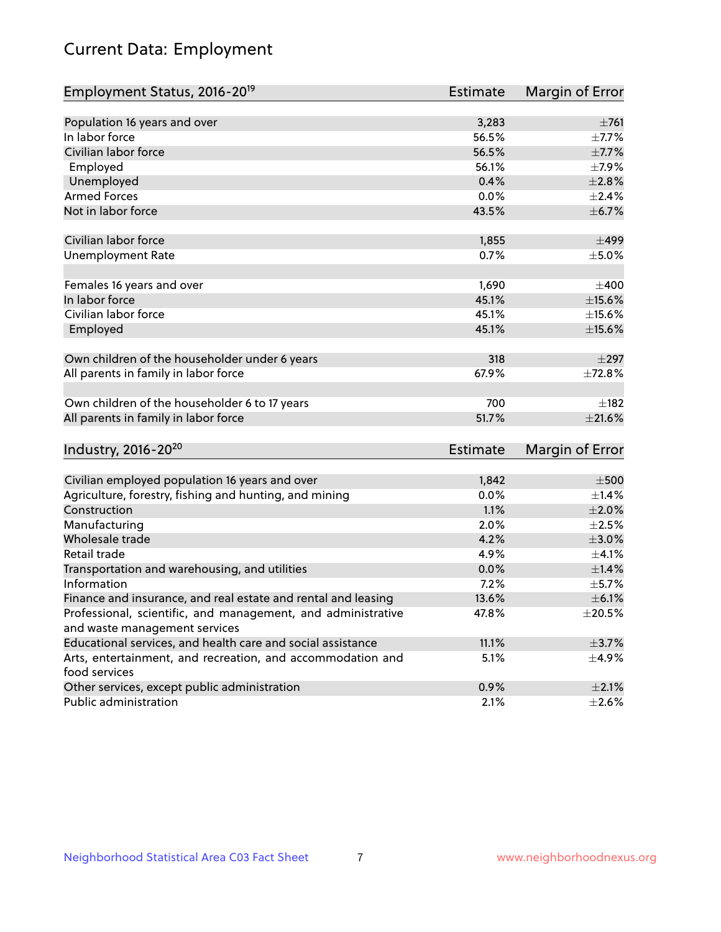# Current Data: Employment

| Employment Status, 2016-20 <sup>19</sup>                                    | <b>Estimate</b> | Margin of Error |
|-----------------------------------------------------------------------------|-----------------|-----------------|
|                                                                             |                 |                 |
| Population 16 years and over                                                | 3,283           | $\pm 761$       |
| In labor force                                                              | 56.5%           | $\pm$ 7.7%      |
| Civilian labor force                                                        | 56.5%           | $\pm$ 7.7%      |
| Employed                                                                    | 56.1%           | $\pm$ 7.9%      |
| Unemployed                                                                  | 0.4%            | $\pm 2.8\%$     |
| <b>Armed Forces</b>                                                         | 0.0%            | $\pm 2.4\%$     |
| Not in labor force                                                          | 43.5%           | ±6.7%           |
| Civilian labor force                                                        | 1,855           | $\pm$ 499       |
| <b>Unemployment Rate</b>                                                    | 0.7%            | $\pm$ 5.0%      |
| Females 16 years and over                                                   | 1,690           | $\pm 400$       |
| In labor force                                                              | 45.1%           | $\pm$ 15.6%     |
| Civilian labor force                                                        | 45.1%           | $\pm$ 15.6%     |
| Employed                                                                    | 45.1%           | $\pm$ 15.6%     |
| Own children of the householder under 6 years                               | 318             | $\pm 297$       |
| All parents in family in labor force                                        | 67.9%           | ±72.8%          |
|                                                                             |                 |                 |
| Own children of the householder 6 to 17 years                               | 700             | $\pm$ 182       |
| All parents in family in labor force                                        | 51.7%           | $\pm 21.6\%$    |
| Industry, 2016-20 <sup>20</sup>                                             | Estimate        | Margin of Error |
|                                                                             |                 |                 |
| Civilian employed population 16 years and over                              | 1,842           | $\pm 500$       |
| Agriculture, forestry, fishing and hunting, and mining                      | 0.0%            | $\pm 1.4\%$     |
| Construction                                                                | 1.1%            | $\pm 2.0\%$     |
| Manufacturing                                                               | 2.0%            | $\pm 2.5\%$     |
| Wholesale trade                                                             | 4.2%            | $\pm 3.0\%$     |
| Retail trade                                                                | 4.9%            | $\pm$ 4.1%      |
| Transportation and warehousing, and utilities                               | 0.0%            | $\pm 1.4\%$     |
| Information                                                                 | 7.2%            | $\pm$ 5.7%      |
| Finance and insurance, and real estate and rental and leasing               | 13.6%           | $\pm$ 6.1%      |
| Professional, scientific, and management, and administrative                | 47.8%           | $\pm 20.5\%$    |
| and waste management services                                               |                 |                 |
| Educational services, and health care and social assistance                 | 11.1%           | $\pm$ 3.7%      |
| Arts, entertainment, and recreation, and accommodation and<br>food services | 5.1%            | ±4.9%           |
| Other services, except public administration                                | 0.9%            | $\pm 2.1\%$     |
| Public administration                                                       | 2.1%            | $\pm 2.6\%$     |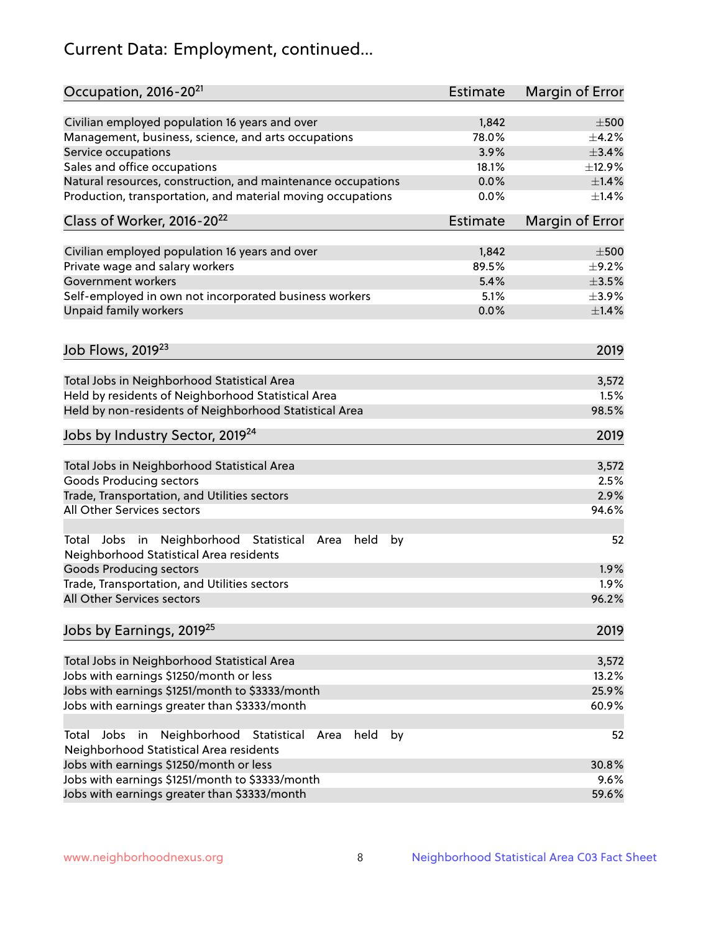# Current Data: Employment, continued...

| Occupation, 2016-20 <sup>21</sup>                                                                       | <b>Estimate</b> | Margin of Error |
|---------------------------------------------------------------------------------------------------------|-----------------|-----------------|
| Civilian employed population 16 years and over                                                          | 1,842           | $\pm 500$       |
| Management, business, science, and arts occupations                                                     | 78.0%           | $\pm$ 4.2%      |
| Service occupations                                                                                     | 3.9%            | ±3.4%           |
| Sales and office occupations                                                                            | 18.1%           | ±12.9%          |
| Natural resources, construction, and maintenance occupations                                            | 0.0%            | $\pm$ 1.4%      |
| Production, transportation, and material moving occupations                                             | 0.0%            | $\pm$ 1.4%      |
| Class of Worker, 2016-20 <sup>22</sup>                                                                  | Estimate        | Margin of Error |
| Civilian employed population 16 years and over                                                          | 1,842           | $\pm 500$       |
| Private wage and salary workers                                                                         | 89.5%           | $\pm$ 9.2%      |
| Government workers                                                                                      | 5.4%            | $\pm$ 3.5%      |
| Self-employed in own not incorporated business workers                                                  | 5.1%            | $\pm$ 3.9%      |
| Unpaid family workers                                                                                   | 0.0%            | $\pm$ 1.4%      |
|                                                                                                         |                 |                 |
| Job Flows, 2019 <sup>23</sup>                                                                           |                 | 2019            |
| Total Jobs in Neighborhood Statistical Area                                                             |                 | 3,572           |
| Held by residents of Neighborhood Statistical Area                                                      |                 | 1.5%            |
| Held by non-residents of Neighborhood Statistical Area                                                  |                 | 98.5%           |
| Jobs by Industry Sector, 2019 <sup>24</sup>                                                             |                 | 2019            |
| Total Jobs in Neighborhood Statistical Area                                                             |                 | 3,572           |
| <b>Goods Producing sectors</b>                                                                          |                 | 2.5%            |
| Trade, Transportation, and Utilities sectors                                                            |                 | 2.9%            |
| All Other Services sectors                                                                              |                 | 94.6%           |
| Total Jobs in Neighborhood Statistical<br>held<br>by<br>Area<br>Neighborhood Statistical Area residents |                 | 52              |
| <b>Goods Producing sectors</b>                                                                          |                 | 1.9%            |
| Trade, Transportation, and Utilities sectors                                                            |                 | 1.9%            |
| All Other Services sectors                                                                              |                 | 96.2%           |
| Jobs by Earnings, 2019 <sup>25</sup>                                                                    |                 | 2019            |
| Total Jobs in Neighborhood Statistical Area                                                             |                 | 3,572           |
| Jobs with earnings \$1250/month or less                                                                 |                 | 13.2%           |
| Jobs with earnings \$1251/month to \$3333/month                                                         |                 | 25.9%           |
| Jobs with earnings greater than \$3333/month                                                            |                 | 60.9%           |
| Neighborhood Statistical<br>Jobs<br>in<br>held<br>by<br>Total<br>Area                                   |                 | 52              |
| Neighborhood Statistical Area residents                                                                 |                 |                 |
| Jobs with earnings \$1250/month or less                                                                 |                 | 30.8%           |
| Jobs with earnings \$1251/month to \$3333/month                                                         |                 | 9.6%            |
| Jobs with earnings greater than \$3333/month                                                            |                 | 59.6%           |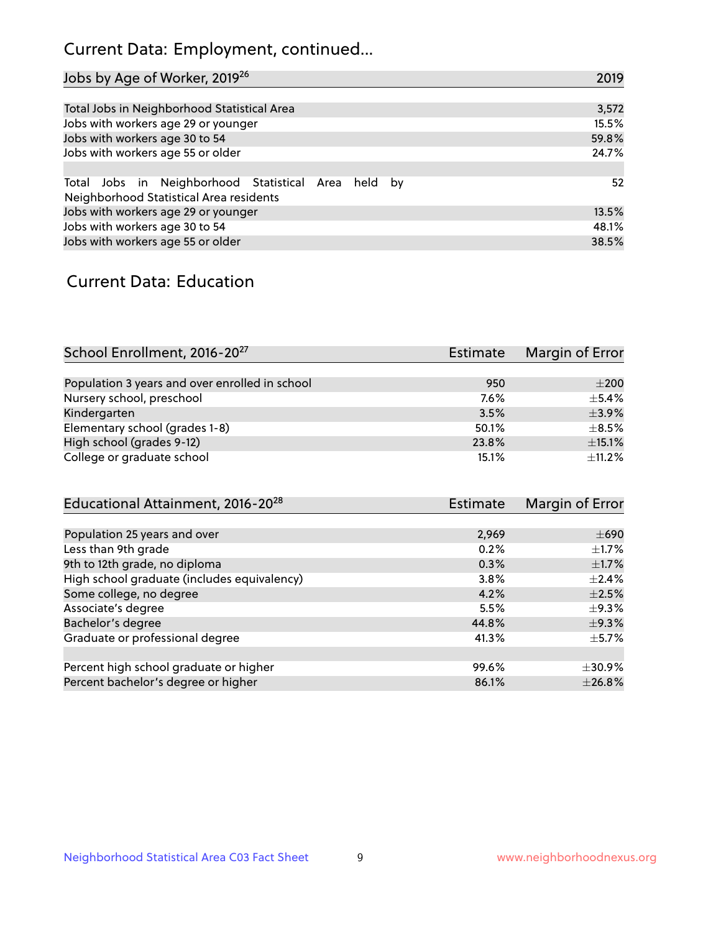# Current Data: Employment, continued...

| Jobs by Age of Worker, 2019 <sup>26</sup>                                                      | 2019  |
|------------------------------------------------------------------------------------------------|-------|
|                                                                                                |       |
| Total Jobs in Neighborhood Statistical Area                                                    | 3,572 |
| Jobs with workers age 29 or younger                                                            | 15.5% |
| Jobs with workers age 30 to 54                                                                 | 59.8% |
| Jobs with workers age 55 or older                                                              | 24.7% |
|                                                                                                |       |
| Total Jobs in Neighborhood Statistical Area held by<br>Neighborhood Statistical Area residents | 52    |
| Jobs with workers age 29 or younger                                                            | 13.5% |
| Jobs with workers age 30 to 54                                                                 | 48.1% |
| Jobs with workers age 55 or older                                                              | 38.5% |

### Current Data: Education

| School Enrollment, 2016-20 <sup>27</sup>       | Estimate | Margin of Error |
|------------------------------------------------|----------|-----------------|
|                                                |          |                 |
| Population 3 years and over enrolled in school | 950      | $\pm 200$       |
| Nursery school, preschool                      | 7.6%     | $+5.4%$         |
| Kindergarten                                   | 3.5%     | $\pm$ 3.9%      |
| Elementary school (grades 1-8)                 | 50.1%    | $\pm$ 8.5%      |
| High school (grades 9-12)                      | 23.8%    | $\pm$ 15.1%     |
| College or graduate school                     | 15.1%    | $+11.2%$        |

| Educational Attainment, 2016-20 <sup>28</sup> | <b>Estimate</b> | Margin of Error |
|-----------------------------------------------|-----------------|-----------------|
|                                               |                 |                 |
| Population 25 years and over                  | 2,969           | $\pm 690$       |
| Less than 9th grade                           | 0.2%            | $\pm$ 1.7%      |
| 9th to 12th grade, no diploma                 | 0.3%            | $\pm$ 1.7%      |
| High school graduate (includes equivalency)   | 3.8%            | $+2.4%$         |
| Some college, no degree                       | 4.2%            | $\pm 2.5\%$     |
| Associate's degree                            | 5.5%            | $\pm$ 9.3%      |
| Bachelor's degree                             | 44.8%           | $\pm$ 9.3%      |
| Graduate or professional degree               | 41.3%           | $\pm$ 5.7%      |
|                                               |                 |                 |
| Percent high school graduate or higher        | 99.6%           | $\pm$ 30.9%     |
| Percent bachelor's degree or higher           | 86.1%           | ±26.8%          |
|                                               |                 |                 |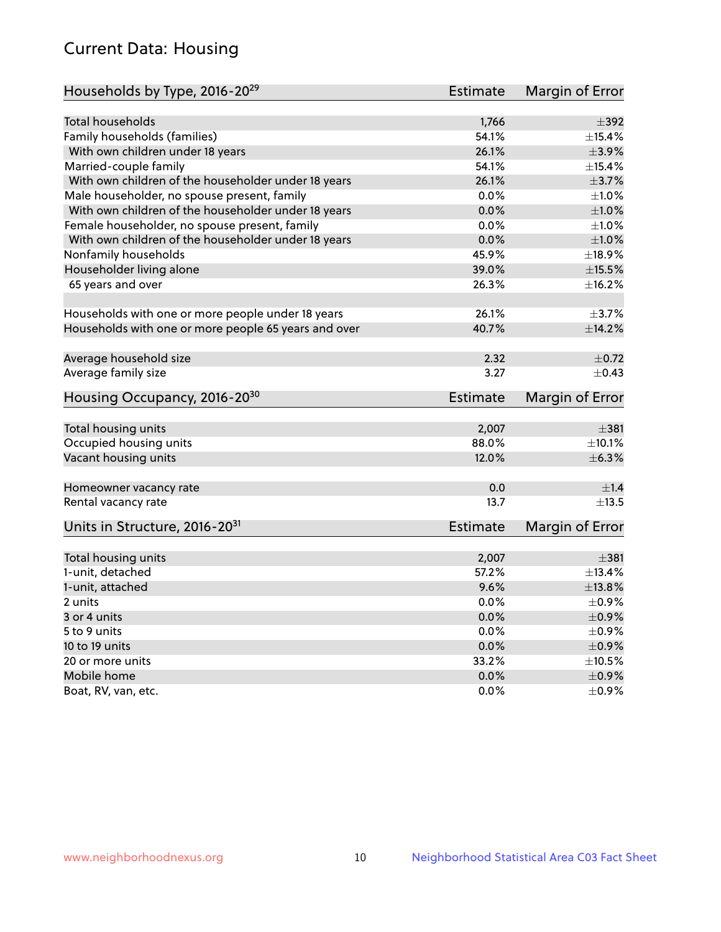# Current Data: Housing

| Households by Type, 2016-20 <sup>29</sup>            | <b>Estimate</b> | Margin of Error |
|------------------------------------------------------|-----------------|-----------------|
|                                                      |                 |                 |
| <b>Total households</b>                              | 1,766           | $\pm$ 392       |
| Family households (families)                         | 54.1%           | $+15.4%$        |
| With own children under 18 years                     | 26.1%           | $\pm$ 3.9%      |
| Married-couple family                                | 54.1%           | ±15.4%          |
| With own children of the householder under 18 years  | 26.1%           | $\pm$ 3.7%      |
| Male householder, no spouse present, family          | 0.0%            | ±1.0%           |
| With own children of the householder under 18 years  | 0.0%            | $\pm1.0\%$      |
| Female householder, no spouse present, family        | 0.0%            | $\pm 1.0\%$     |
| With own children of the householder under 18 years  | 0.0%            | $\pm 1.0\%$     |
| Nonfamily households                                 | 45.9%           | $\pm$ 18.9%     |
| Householder living alone                             | 39.0%           | $\pm$ 15.5%     |
| 65 years and over                                    | 26.3%           | ±16.2%          |
|                                                      |                 |                 |
| Households with one or more people under 18 years    | 26.1%           | $\pm$ 3.7%      |
| Households with one or more people 65 years and over | 40.7%           | ±14.2%          |
|                                                      |                 |                 |
| Average household size                               | 2.32            | $\pm$ 0.72      |
| Average family size                                  | 3.27            | $\pm$ 0.43      |
| Housing Occupancy, 2016-20 <sup>30</sup>             | <b>Estimate</b> | Margin of Error |
|                                                      |                 |                 |
| Total housing units                                  | 2,007           | ±381            |
| Occupied housing units                               | 88.0%           | ±10.1%          |
| Vacant housing units                                 | 12.0%           | ±6.3%           |
| Homeowner vacancy rate                               | 0.0             | ±1.4            |
| Rental vacancy rate                                  | 13.7            | $\pm$ 13.5      |
| Units in Structure, 2016-20 <sup>31</sup>            | Estimate        | Margin of Error |
|                                                      |                 |                 |
| Total housing units                                  | 2,007           | $\pm$ 381       |
| 1-unit, detached                                     | 57.2%           | ±13.4%          |
| 1-unit, attached                                     | 9.6%            | ±13.8%          |
| 2 units                                              | 0.0%            | $\pm$ 0.9%      |
| 3 or 4 units                                         | 0.0%            | $\pm$ 0.9%      |
| 5 to 9 units                                         | 0.0%            | $\pm$ 0.9%      |
| 10 to 19 units                                       | 0.0%            | $\pm$ 0.9%      |
| 20 or more units                                     | 33.2%           | $\pm 10.5\%$    |
| Mobile home                                          | 0.0%            | $\pm$ 0.9%      |
| Boat, RV, van, etc.                                  | $0.0\%$         | $\pm$ 0.9%      |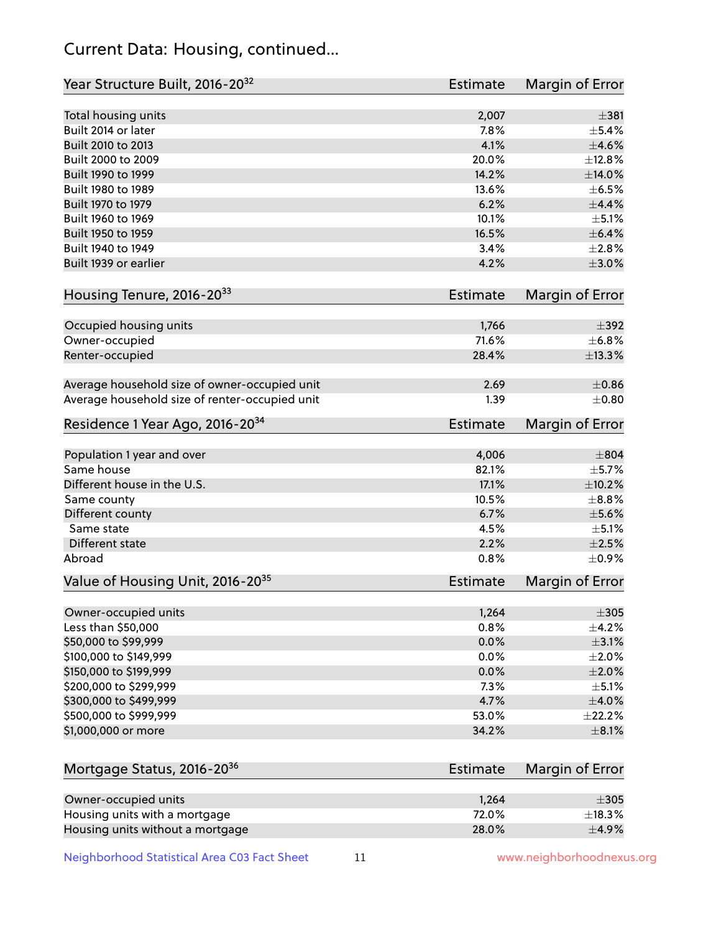# Current Data: Housing, continued...

| Year Structure Built, 2016-20 <sup>32</sup>    | <b>Estimate</b> | <b>Margin of Error</b> |
|------------------------------------------------|-----------------|------------------------|
| Total housing units                            | 2,007           | $\pm$ 381              |
| Built 2014 or later                            | 7.8%            | $\pm$ 5.4%             |
| Built 2010 to 2013                             | 4.1%            | $\pm 4.6\%$            |
| Built 2000 to 2009                             | 20.0%           | ±12.8%                 |
| Built 1990 to 1999                             | 14.2%           | ±14.0%                 |
| Built 1980 to 1989                             | 13.6%           | $\pm$ 6.5%             |
| Built 1970 to 1979                             | 6.2%            | $\pm$ 4.4%             |
| Built 1960 to 1969                             | 10.1%           | $\pm$ 5.1%             |
| Built 1950 to 1959                             | 16.5%           | $\pm$ 6.4%             |
| Built 1940 to 1949                             | 3.4%            | ±2.8%                  |
| Built 1939 or earlier                          | 4.2%            | $\pm 3.0\%$            |
|                                                |                 |                        |
| Housing Tenure, 2016-2033                      | <b>Estimate</b> | <b>Margin of Error</b> |
| Occupied housing units                         | 1,766           | $\pm$ 392              |
| Owner-occupied                                 | 71.6%           | ±6.8%                  |
| Renter-occupied                                | 28.4%           | ±13.3%                 |
| Average household size of owner-occupied unit  | 2.69            | $\pm$ 0.86             |
| Average household size of renter-occupied unit | 1.39            | $\pm$ 0.80             |
| Residence 1 Year Ago, 2016-20 <sup>34</sup>    | Estimate        | <b>Margin of Error</b> |
| Population 1 year and over                     | 4,006           | $\pm$ 804              |
| Same house                                     | 82.1%           | $\pm$ 5.7%             |
| Different house in the U.S.                    | 17.1%           | ±10.2%                 |
| Same county                                    | 10.5%           | $\pm$ 8.8%             |
| Different county                               | 6.7%            | $\pm$ 5.6%             |
| Same state                                     | 4.5%            | $\pm$ 5.1%             |
| Different state                                | 2.2%            | $\pm 2.5\%$            |
| Abroad                                         | 0.8%            | $\pm$ 0.9%             |
| Value of Housing Unit, 2016-20 <sup>35</sup>   | <b>Estimate</b> | Margin of Error        |
| Owner-occupied units                           | 1,264           | $\pm 305$              |
| Less than \$50,000                             | 0.8%            | $\pm$ 4.2%             |
| \$50,000 to \$99,999                           | 0.0%            | $\pm$ 3.1%             |
| \$100,000 to \$149,999                         | 0.0%            | $\pm 2.0\%$            |
| \$150,000 to \$199,999                         | 0.0%            | $\pm 2.0\%$            |
| \$200,000 to \$299,999                         | 7.3%            | $\pm$ 5.1%             |
| \$300,000 to \$499,999                         | 4.7%            | $\pm 4.0\%$            |
| \$500,000 to \$999,999                         | 53.0%           | ±22.2%                 |
| \$1,000,000 or more                            | 34.2%           | $\pm$ 8.1%             |
| Mortgage Status, 2016-20 <sup>36</sup>         | <b>Estimate</b> | Margin of Error        |
|                                                |                 |                        |
| Owner-occupied units                           | 1,264           | $\pm 305$              |
| Housing units with a mortgage                  | 72.0%           | ±18.3%                 |

Neighborhood Statistical Area C03 Fact Sheet 11 11 www.neighborhoodnexus.org

Housing units without a mortgage  $\pm 4.9\%$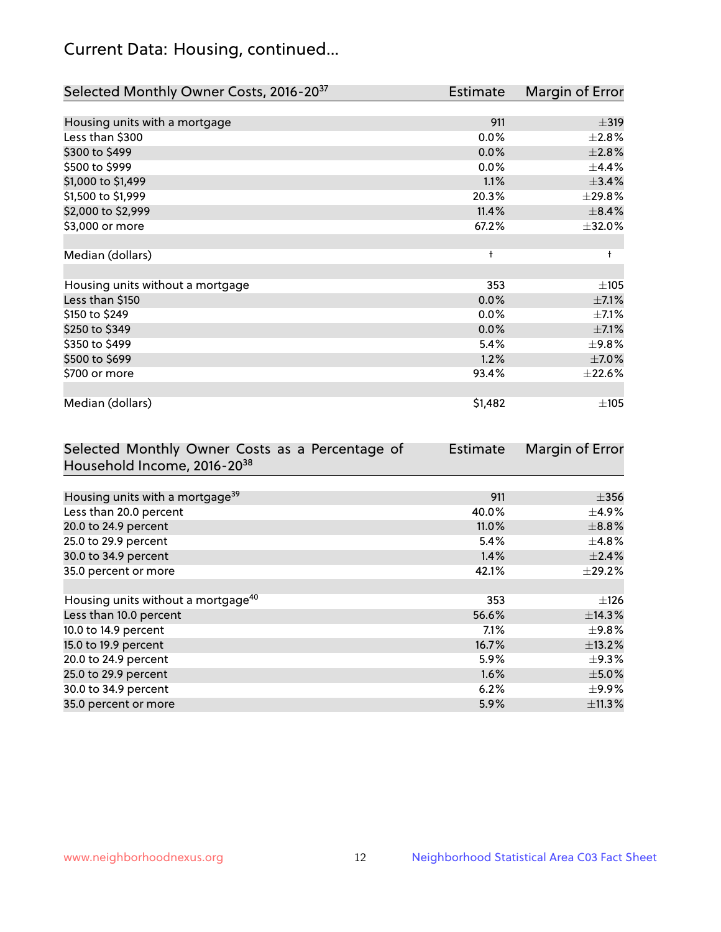# Current Data: Housing, continued...

| Selected Monthly Owner Costs, 2016-20 <sup>37</sup> | Estimate   | Margin of Error |
|-----------------------------------------------------|------------|-----------------|
|                                                     |            |                 |
| Housing units with a mortgage                       | 911        | $\pm$ 319       |
| Less than \$300                                     | 0.0%       | $\pm 2.8\%$     |
| \$300 to \$499                                      | 0.0%       | ±2.8%           |
| \$500 to \$999                                      | $0.0\%$    | $\pm$ 4.4%      |
| \$1,000 to \$1,499                                  | 1.1%       | ±3.4%           |
| \$1,500 to \$1,999                                  | 20.3%      | ±29.8%          |
| \$2,000 to \$2,999                                  | 11.4%      | $\pm$ 8.4%      |
| \$3,000 or more                                     | 67.2%      | $\pm$ 32.0%     |
|                                                     |            |                 |
| Median (dollars)                                    | $\ddagger$ | $\ddagger$      |
|                                                     |            |                 |
| Housing units without a mortgage                    | 353        | ±105            |
| Less than \$150                                     | 0.0%       | $\pm$ 7.1%      |
| \$150 to \$249                                      | $0.0\%$    | $\pm$ 7.1%      |
| \$250 to \$349                                      | 0.0%       | $\pm$ 7.1%      |
| \$350 to \$499                                      | 5.4%       | $\pm$ 9.8%      |
| \$500 to \$699                                      | 1.2%       | $\pm$ 7.0%      |
| \$700 or more                                       | 93.4%      | ±22.6%          |
|                                                     |            |                 |
| Median (dollars)                                    | \$1,482    | $\pm 105$       |

| Selected Monthly Owner Costs as a Percentage of | <b>Estimate</b> | Margin of Error |
|-------------------------------------------------|-----------------|-----------------|
| Household Income, 2016-20 <sup>38</sup>         |                 |                 |
|                                                 |                 |                 |
| Housing units with a mortgage <sup>39</sup>     | 911             | $\pm$ 356       |
| Less than 20.0 percent                          | 40.0%           | $\pm$ 4.9%      |
| 20.0 to 24.9 percent                            | 11.0%           | $\pm$ 8.8%      |
| 25.0 to 29.9 percent                            | 5.4%            | $\pm$ 4.8%      |
| 30.0 to 34.9 percent                            | 1.4%            | $\pm$ 2.4%      |
| 35.0 percent or more                            | 42.1%           | $\pm$ 29.2%     |
|                                                 |                 |                 |
| Housing units without a mortgage <sup>40</sup>  | 353             | $\pm$ 126       |
| Less than 10.0 percent                          | 56.6%           | $\pm$ 14.3%     |
| 10.0 to 14.9 percent                            | $7.1\%$         | $\pm$ 9.8%      |
| 15.0 to 19.9 percent                            | 16.7%           | ±13.2%          |
| 20.0 to 24.9 percent                            | 5.9%            | $\pm$ 9.3%      |
| 25.0 to 29.9 percent                            | 1.6%            | $\pm$ 5.0%      |
| 30.0 to 34.9 percent                            | 6.2%            | $\pm$ 9.9%      |
| 35.0 percent or more                            | $5.9\%$         | ±11.3%          |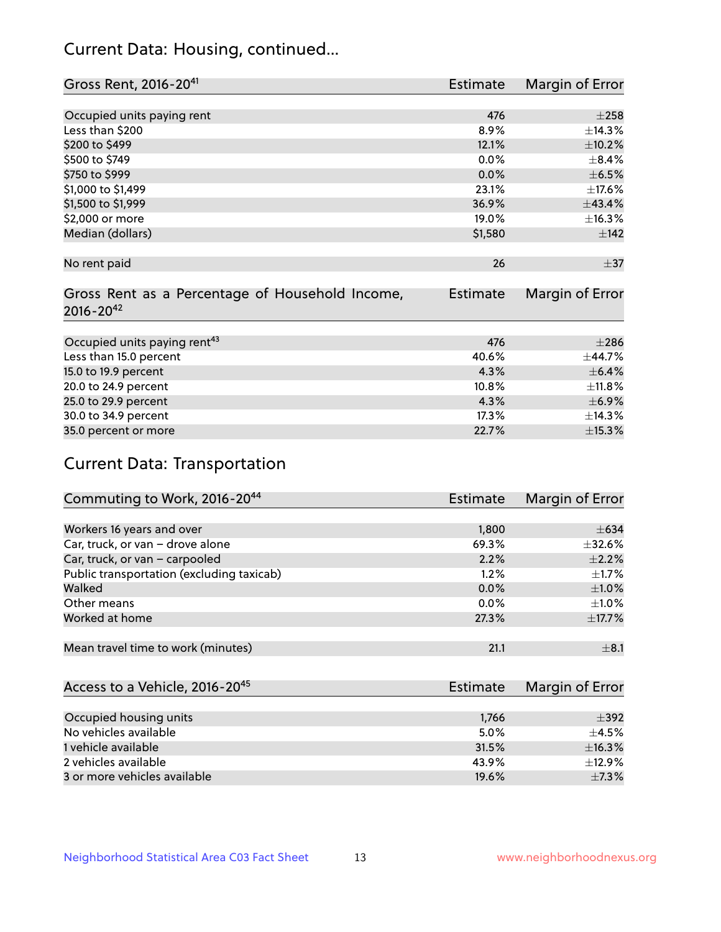# Current Data: Housing, continued...

| Gross Rent, 2016-20 <sup>41</sup>               | <b>Estimate</b> | Margin of Error |
|-------------------------------------------------|-----------------|-----------------|
|                                                 |                 |                 |
| Occupied units paying rent                      | 476             | $\pm 258$       |
| Less than \$200                                 | 8.9%            | ±14.3%          |
| \$200 to \$499                                  | 12.1%           | $\pm 10.2\%$    |
| \$500 to \$749                                  | $0.0\%$         | $\pm$ 8.4%      |
| \$750 to \$999                                  | 0.0%            | $\pm$ 6.5%      |
| \$1,000 to \$1,499                              | 23.1%           | ±17.6%          |
| \$1,500 to \$1,999                              | 36.9%           | ±43.4%          |
| \$2,000 or more                                 | 19.0%           | ±16.3%          |
| Median (dollars)                                | \$1,580         | ±142            |
|                                                 |                 |                 |
| No rent paid                                    | 26              | $\pm$ 37        |
|                                                 |                 |                 |
| Gross Rent as a Percentage of Household Income, | <b>Estimate</b> | Margin of Error |
| $2016 - 20^{42}$                                |                 |                 |
|                                                 |                 |                 |
| Occupied units paying rent <sup>43</sup>        | 476             | $\pm 286$       |
| Less than 15.0 percent                          | 40.6%           | ±44.7%          |
| 15.0 to 19.9 percent                            | 4.3%            | $\pm$ 6.4%      |
| 20.0 to 24.9 percent                            | 10.8%           | ±11.8%          |
| 25.0 to 29.9 percent                            | 4.3%            | $\pm$ 6.9%      |
| 30.0 to 34.9 percent                            | 17.3%           | ±14.3%          |
| 35.0 percent or more                            | 22.7%           | ±15.3%          |

# Current Data: Transportation

| Commuting to Work, 2016-20 <sup>44</sup>  | <b>Estimate</b> | Margin of Error |
|-------------------------------------------|-----------------|-----------------|
|                                           |                 |                 |
| Workers 16 years and over                 | 1,800           | $\pm 634$       |
| Car, truck, or van - drove alone          | 69.3%           | $\pm$ 32.6%     |
| Car, truck, or van - carpooled            | 2.2%            | $\pm 2.2\%$     |
| Public transportation (excluding taxicab) | 1.2%            | $\pm$ 1.7%      |
| Walked                                    | 0.0%            | $\pm1.0\%$      |
| Other means                               | $0.0\%$         | $\pm 1.0\%$     |
| Worked at home                            | 27.3%           | ±17.7%          |
|                                           |                 |                 |
| Mean travel time to work (minutes)        | 21.1            | $\pm$ 8.1       |

| Access to a Vehicle, 2016-20 <sup>45</sup> | Estimate | Margin of Error |
|--------------------------------------------|----------|-----------------|
|                                            |          |                 |
| Occupied housing units                     | 1,766    | $\pm$ 392       |
| No vehicles available                      | 5.0%     | $+4.5%$         |
| 1 vehicle available                        | 31.5%    | ±16.3%          |
| 2 vehicles available                       | 43.9%    | $\pm$ 12.9%     |
| 3 or more vehicles available               | 19.6%    | $\pm$ 7.3%      |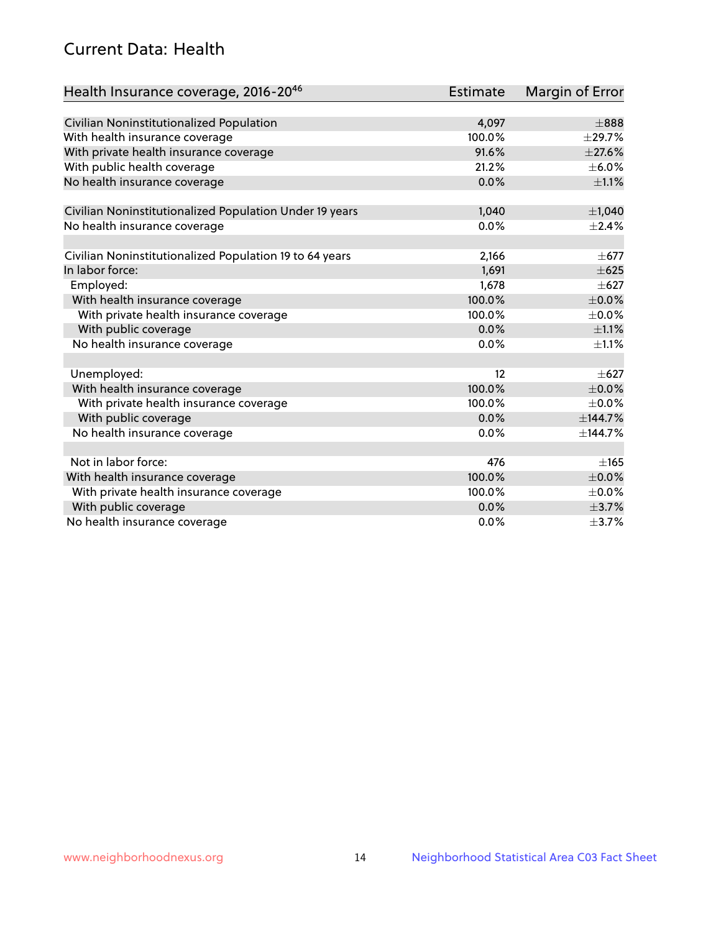# Current Data: Health

| Health Insurance coverage, 2016-2046                    | <b>Estimate</b> | <b>Margin of Error</b> |
|---------------------------------------------------------|-----------------|------------------------|
|                                                         |                 |                        |
| Civilian Noninstitutionalized Population                | 4,097           | $\pm 888$              |
| With health insurance coverage                          | 100.0%          | ±29.7%                 |
| With private health insurance coverage                  | 91.6%           | $\pm 27.6\%$           |
| With public health coverage                             | 21.2%           | $\pm$ 6.0%             |
| No health insurance coverage                            | 0.0%            | $\pm 1.1\%$            |
| Civilian Noninstitutionalized Population Under 19 years | 1,040           | ±1,040                 |
| No health insurance coverage                            | 0.0%            | $\pm 2.4\%$            |
|                                                         |                 |                        |
| Civilian Noninstitutionalized Population 19 to 64 years | 2,166           | $\pm$ 677              |
| In labor force:                                         | 1,691           | $\pm 625$              |
| Employed:                                               | 1,678           | $\pm 627$              |
| With health insurance coverage                          | 100.0%          | $\pm$ 0.0%             |
| With private health insurance coverage                  | 100.0%          | $\pm$ 0.0%             |
| With public coverage                                    | 0.0%            | $\pm 1.1\%$            |
| No health insurance coverage                            | 0.0%            | $\pm 1.1\%$            |
|                                                         |                 |                        |
| Unemployed:                                             | 12              | $+627$                 |
| With health insurance coverage                          | 100.0%          | $\pm$ 0.0%             |
| With private health insurance coverage                  | 100.0%          | $\pm$ 0.0%             |
| With public coverage                                    | 0.0%            | ±144.7%                |
| No health insurance coverage                            | 0.0%            | ±144.7%                |
|                                                         |                 |                        |
| Not in labor force:                                     | 476             | ±165                   |
| With health insurance coverage                          | 100.0%          | $\pm$ 0.0%             |
| With private health insurance coverage                  | 100.0%          | $\pm$ 0.0%             |
| With public coverage                                    | 0.0%            | $\pm$ 3.7%             |
| No health insurance coverage                            | $0.0\%$         | $\pm$ 3.7%             |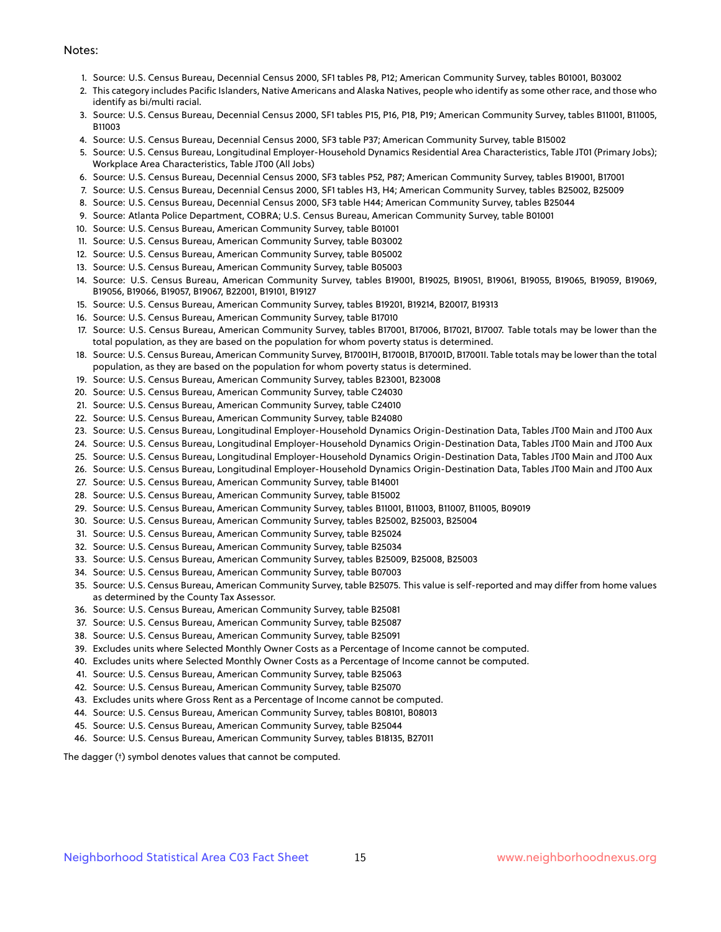#### Notes:

- 1. Source: U.S. Census Bureau, Decennial Census 2000, SF1 tables P8, P12; American Community Survey, tables B01001, B03002
- 2. This category includes Pacific Islanders, Native Americans and Alaska Natives, people who identify as some other race, and those who identify as bi/multi racial.
- 3. Source: U.S. Census Bureau, Decennial Census 2000, SF1 tables P15, P16, P18, P19; American Community Survey, tables B11001, B11005, B11003
- 4. Source: U.S. Census Bureau, Decennial Census 2000, SF3 table P37; American Community Survey, table B15002
- 5. Source: U.S. Census Bureau, Longitudinal Employer-Household Dynamics Residential Area Characteristics, Table JT01 (Primary Jobs); Workplace Area Characteristics, Table JT00 (All Jobs)
- 6. Source: U.S. Census Bureau, Decennial Census 2000, SF3 tables P52, P87; American Community Survey, tables B19001, B17001
- 7. Source: U.S. Census Bureau, Decennial Census 2000, SF1 tables H3, H4; American Community Survey, tables B25002, B25009
- 8. Source: U.S. Census Bureau, Decennial Census 2000, SF3 table H44; American Community Survey, tables B25044
- 9. Source: Atlanta Police Department, COBRA; U.S. Census Bureau, American Community Survey, table B01001
- 10. Source: U.S. Census Bureau, American Community Survey, table B01001
- 11. Source: U.S. Census Bureau, American Community Survey, table B03002
- 12. Source: U.S. Census Bureau, American Community Survey, table B05002
- 13. Source: U.S. Census Bureau, American Community Survey, table B05003
- 14. Source: U.S. Census Bureau, American Community Survey, tables B19001, B19025, B19051, B19061, B19055, B19065, B19059, B19069, B19056, B19066, B19057, B19067, B22001, B19101, B19127
- 15. Source: U.S. Census Bureau, American Community Survey, tables B19201, B19214, B20017, B19313
- 16. Source: U.S. Census Bureau, American Community Survey, table B17010
- 17. Source: U.S. Census Bureau, American Community Survey, tables B17001, B17006, B17021, B17007. Table totals may be lower than the total population, as they are based on the population for whom poverty status is determined.
- 18. Source: U.S. Census Bureau, American Community Survey, B17001H, B17001B, B17001D, B17001I. Table totals may be lower than the total population, as they are based on the population for whom poverty status is determined.
- 19. Source: U.S. Census Bureau, American Community Survey, tables B23001, B23008
- 20. Source: U.S. Census Bureau, American Community Survey, table C24030
- 21. Source: U.S. Census Bureau, American Community Survey, table C24010
- 22. Source: U.S. Census Bureau, American Community Survey, table B24080
- 23. Source: U.S. Census Bureau, Longitudinal Employer-Household Dynamics Origin-Destination Data, Tables JT00 Main and JT00 Aux
- 24. Source: U.S. Census Bureau, Longitudinal Employer-Household Dynamics Origin-Destination Data, Tables JT00 Main and JT00 Aux
- 25. Source: U.S. Census Bureau, Longitudinal Employer-Household Dynamics Origin-Destination Data, Tables JT00 Main and JT00 Aux
- 26. Source: U.S. Census Bureau, Longitudinal Employer-Household Dynamics Origin-Destination Data, Tables JT00 Main and JT00 Aux
- 27. Source: U.S. Census Bureau, American Community Survey, table B14001
- 28. Source: U.S. Census Bureau, American Community Survey, table B15002
- 29. Source: U.S. Census Bureau, American Community Survey, tables B11001, B11003, B11007, B11005, B09019
- 30. Source: U.S. Census Bureau, American Community Survey, tables B25002, B25003, B25004
- 31. Source: U.S. Census Bureau, American Community Survey, table B25024
- 32. Source: U.S. Census Bureau, American Community Survey, table B25034
- 33. Source: U.S. Census Bureau, American Community Survey, tables B25009, B25008, B25003
- 34. Source: U.S. Census Bureau, American Community Survey, table B07003
- 35. Source: U.S. Census Bureau, American Community Survey, table B25075. This value is self-reported and may differ from home values as determined by the County Tax Assessor.
- 36. Source: U.S. Census Bureau, American Community Survey, table B25081
- 37. Source: U.S. Census Bureau, American Community Survey, table B25087
- 38. Source: U.S. Census Bureau, American Community Survey, table B25091
- 39. Excludes units where Selected Monthly Owner Costs as a Percentage of Income cannot be computed.
- 40. Excludes units where Selected Monthly Owner Costs as a Percentage of Income cannot be computed.
- 41. Source: U.S. Census Bureau, American Community Survey, table B25063
- 42. Source: U.S. Census Bureau, American Community Survey, table B25070
- 43. Excludes units where Gross Rent as a Percentage of Income cannot be computed.
- 44. Source: U.S. Census Bureau, American Community Survey, tables B08101, B08013
- 45. Source: U.S. Census Bureau, American Community Survey, table B25044
- 46. Source: U.S. Census Bureau, American Community Survey, tables B18135, B27011

The dagger (†) symbol denotes values that cannot be computed.